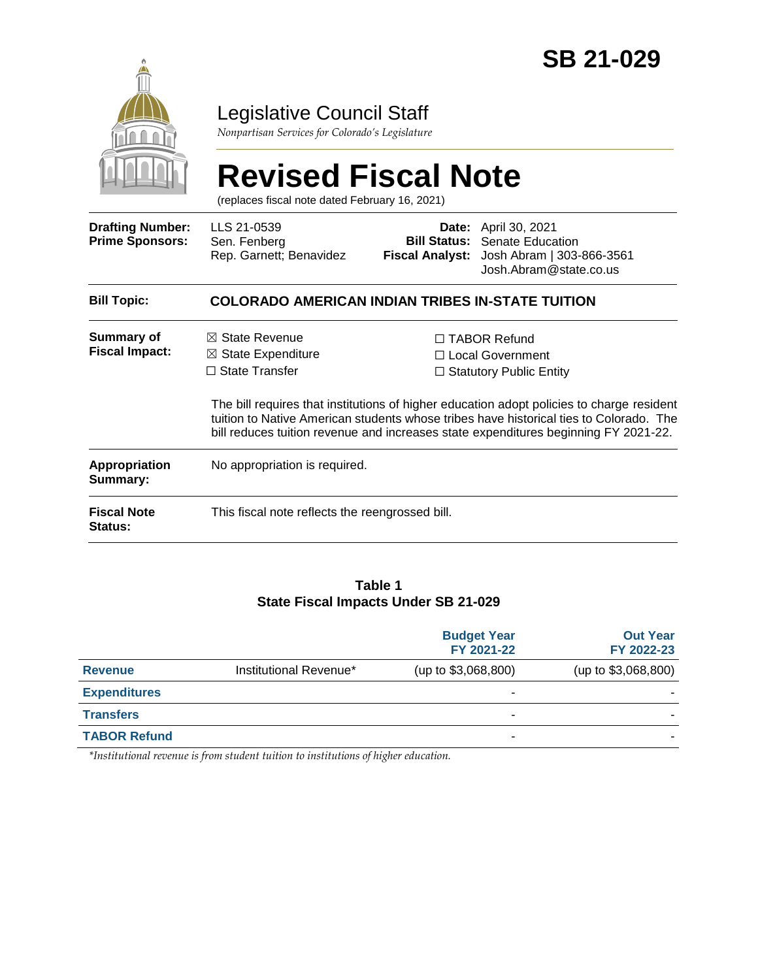

### Legislative Council Staff

*Nonpartisan Services for Colorado's Legislature*

# **Revised Fiscal Note**

(replaces fiscal note dated February 16, 2021)

| <b>Drafting Number:</b><br><b>Prime Sponsors:</b> | LLS 21-0539<br>Sen. Fenberg<br>Rep. Garnett; Benavidez                              | <b>Bill Status:</b> | <b>Date:</b> April 30, 2021<br><b>Senate Education</b><br>Fiscal Analyst: Josh Abram   303-866-3561<br>Josh. Abram @ state.co.us                                                                                                                                                                                                                               |  |
|---------------------------------------------------|-------------------------------------------------------------------------------------|---------------------|----------------------------------------------------------------------------------------------------------------------------------------------------------------------------------------------------------------------------------------------------------------------------------------------------------------------------------------------------------------|--|
| <b>Bill Topic:</b>                                | <b>COLORADO AMERICAN INDIAN TRIBES IN-STATE TUITION</b>                             |                     |                                                                                                                                                                                                                                                                                                                                                                |  |
| <b>Summary of</b><br><b>Fiscal Impact:</b>        | $\boxtimes$ State Revenue<br>$\boxtimes$ State Expenditure<br>$\Box$ State Transfer |                     | $\Box$ TABOR Refund<br>$\Box$ Local Government<br>$\Box$ Statutory Public Entity<br>The bill requires that institutions of higher education adopt policies to charge resident<br>tuition to Native American students whose tribes have historical ties to Colorado. The<br>bill reduces tuition revenue and increases state expenditures beginning FY 2021-22. |  |
| <b>Appropriation</b><br>Summary:                  | No appropriation is required.                                                       |                     |                                                                                                                                                                                                                                                                                                                                                                |  |
| <b>Fiscal Note</b><br><b>Status:</b>              | This fiscal note reflects the reengrossed bill.                                     |                     |                                                                                                                                                                                                                                                                                                                                                                |  |

#### **Table 1 State Fiscal Impacts Under SB 21-029**

|                     |                        | <b>Budget Year</b><br>FY 2021-22 | <b>Out Year</b><br>FY 2022-23 |
|---------------------|------------------------|----------------------------------|-------------------------------|
| <b>Revenue</b>      | Institutional Revenue* | (up to \$3,068,800)              | (up to \$3,068,800)           |
| <b>Expenditures</b> |                        |                                  |                               |
| <b>Transfers</b>    |                        | ٠                                |                               |
| <b>TABOR Refund</b> |                        | -                                |                               |

*\*Institutional revenue is from student tuition to institutions of higher education.*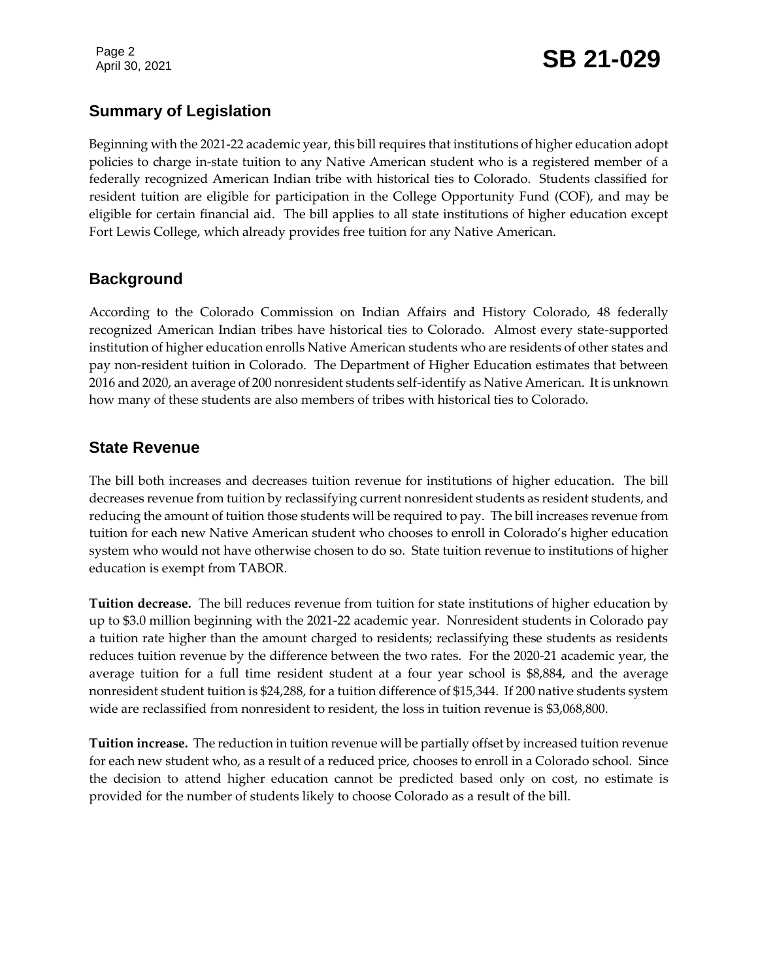Page 2

## Page 2<br>April 30, 2021 **SB 21-029**

#### **Summary of Legislation**

Beginning with the 2021-22 academic year, this bill requires that institutions of higher education adopt policies to charge in-state tuition to any Native American student who is a registered member of a federally recognized American Indian tribe with historical ties to Colorado. Students classified for resident tuition are eligible for participation in the College Opportunity Fund (COF), and may be eligible for certain financial aid. The bill applies to all state institutions of higher education except Fort Lewis College, which already provides free tuition for any Native American.

#### **Background**

According to the Colorado Commission on Indian Affairs and History Colorado, 48 federally recognized American Indian tribes have historical ties to Colorado. Almost every state-supported institution of higher education enrolls Native American students who are residents of other states and pay non-resident tuition in Colorado. The Department of Higher Education estimates that between 2016 and 2020, an average of 200 nonresident students self-identify as Native American. It is unknown how many of these students are also members of tribes with historical ties to Colorado.

#### **State Revenue**

The bill both increases and decreases tuition revenue for institutions of higher education. The bill decreases revenue from tuition by reclassifying current nonresident students as resident students, and reducing the amount of tuition those students will be required to pay. The bill increases revenue from tuition for each new Native American student who chooses to enroll in Colorado's higher education system who would not have otherwise chosen to do so. State tuition revenue to institutions of higher education is exempt from TABOR.

**Tuition decrease.** The bill reduces revenue from tuition for state institutions of higher education by up to \$3.0 million beginning with the 2021-22 academic year. Nonresident students in Colorado pay a tuition rate higher than the amount charged to residents; reclassifying these students as residents reduces tuition revenue by the difference between the two rates. For the 2020-21 academic year, the average tuition for a full time resident student at a four year school is \$8,884, and the average nonresident student tuition is \$24,288, for a tuition difference of \$15,344. If 200 native students system wide are reclassified from nonresident to resident, the loss in tuition revenue is \$3,068,800.

**Tuition increase.** The reduction in tuition revenue will be partially offset by increased tuition revenue for each new student who, as a result of a reduced price, chooses to enroll in a Colorado school. Since the decision to attend higher education cannot be predicted based only on cost, no estimate is provided for the number of students likely to choose Colorado as a result of the bill.